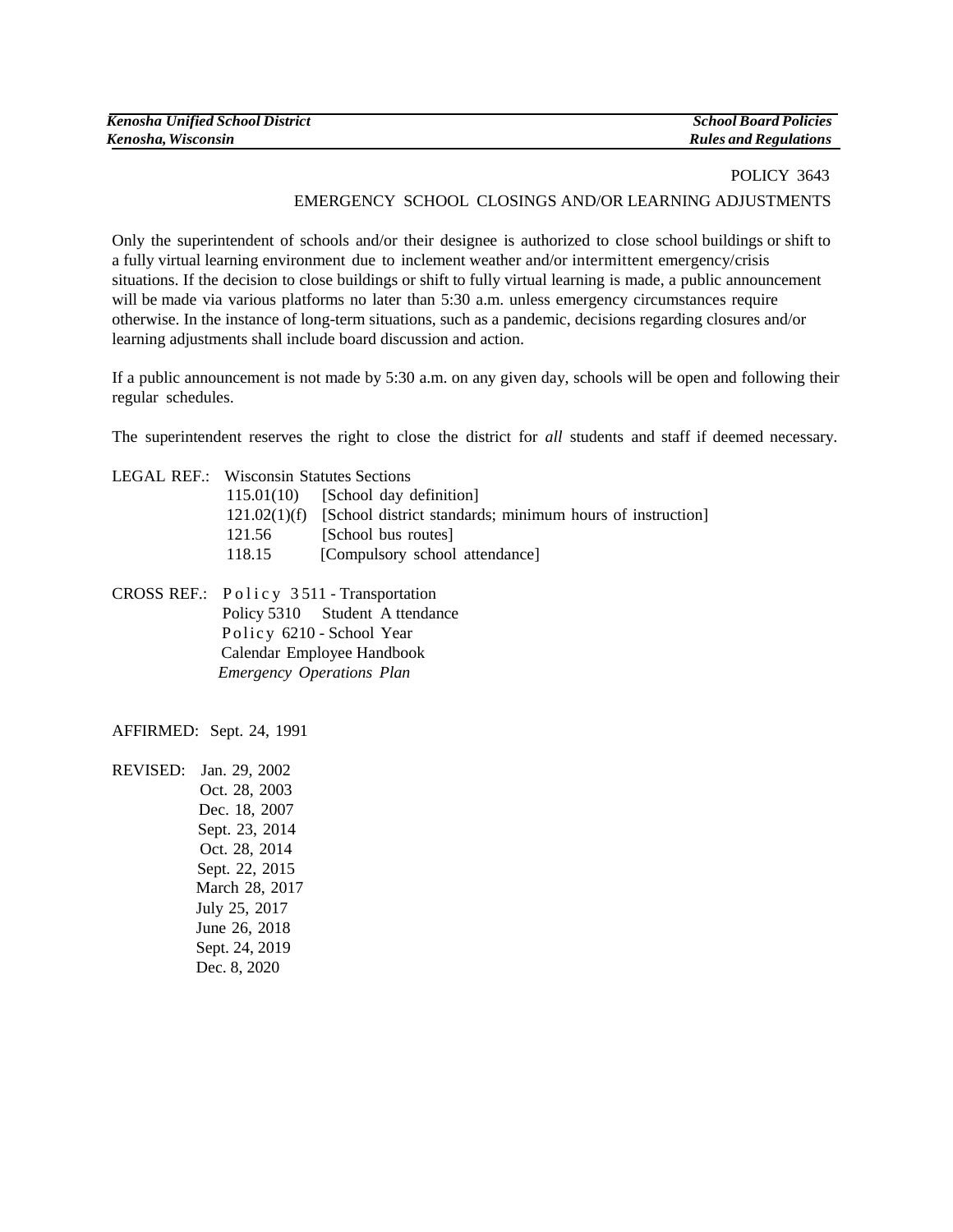| <b>Kenosha Unified School District</b> | <b>School Board Policies</b> |
|----------------------------------------|------------------------------|
| Kenosha, Wisconsin                     | <b>Rules and Regulations</b> |

# POLICY 3643 EMERGENCY SCHOOL CLOSINGS AND/OR LEARNING ADJUSTMENTS

Only the superintendent of schools and/or their designee is authorized to close school buildings or shift to a fully virtual learning environment due to inclement weather and/or intermittent emergency/crisis situations. If the decision to close buildings or shift to fully virtual learning is made, a public announcement will be made via various platforms no later than 5:30 a.m. unless emergency circumstances require otherwise. In the instance of long-term situations, such as a pandemic, decisions regarding closures and/or learning adjustments shall include board discussion and action.

If a public announcement is not made by 5:30 a.m. on any given day, schools will be open and following their regular schedules.

The superintendent reserves the right to close the district for *all* students and staff if deemed necessary.

| <b>LEGAL REF.: Wisconsin Statutes Sections</b> |                                                                          |
|------------------------------------------------|--------------------------------------------------------------------------|
|                                                | $115.01(10)$ [School day definition]                                     |
|                                                | $121.02(1)(f)$ [School district standards; minimum hours of instruction] |
| 121.56                                         | [School bus routes]                                                      |
| 118.15                                         | [Compulsory school attendance]                                           |
|                                                |                                                                          |

CROSS REF.: Policy 3511 - Transportation Policy 5310 Student A ttendance Policy 6210 - School Year Calendar Employee Handbook  *Emergency Operations Plan*

AFFIRMED: Sept. 24, 1991

REVISED: Jan. 29, 2002 Oct. 28, 2003 Dec. 18, 2007 Sept. 23, 2014 Oct. 28, 2014 Sept. 22, 2015 March 28, 2017 July 25, 2017 June 26, 2018 Sept. 24, 2019 Dec. 8, 2020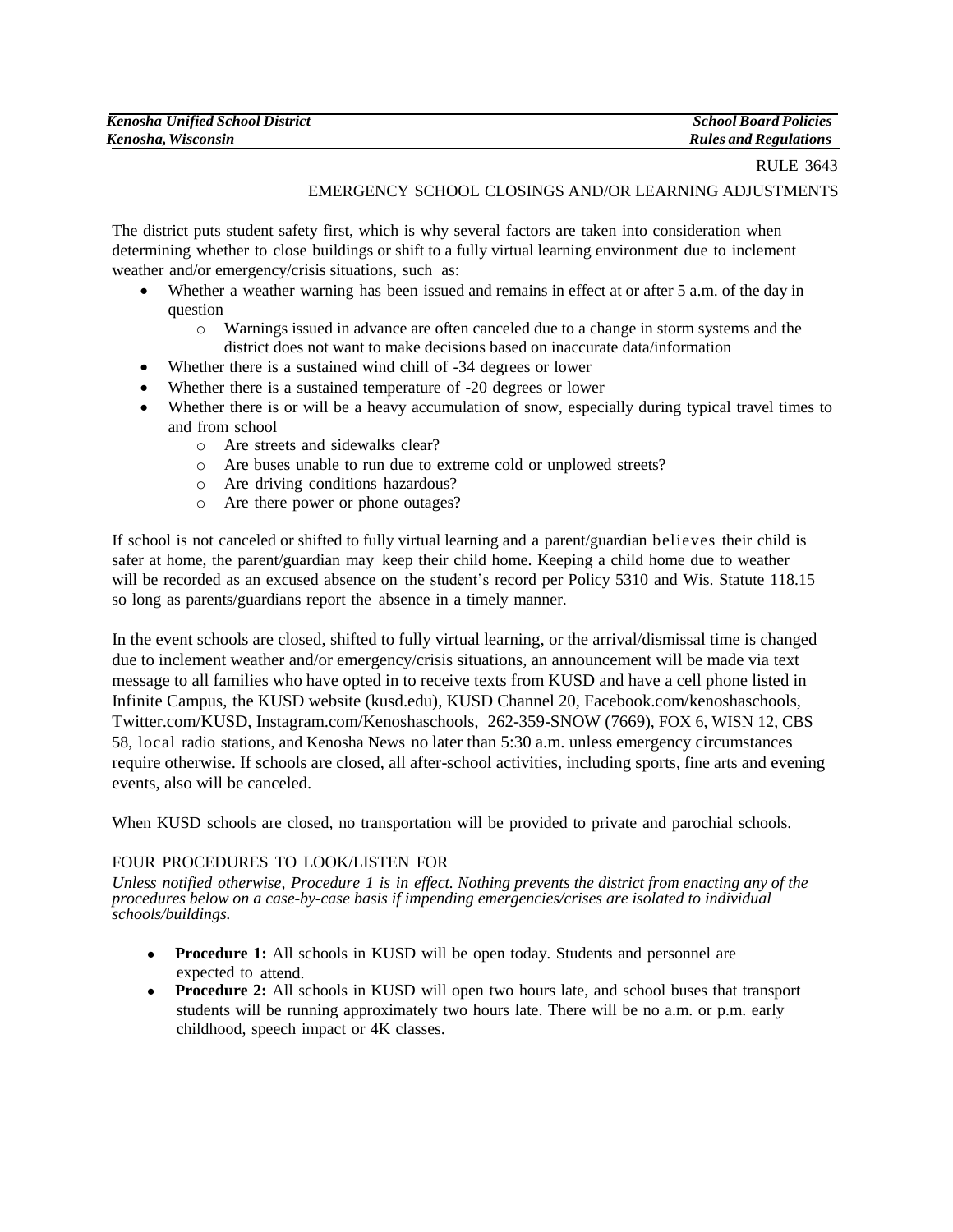| <b>Kenosha Unified School District</b> | <b>School Board Policies</b> |
|----------------------------------------|------------------------------|
| Kenosha, Wisconsin                     | <b>Rules and Regulations</b> |

#### RULE 3643

# EMERGENCY SCHOOL CLOSINGS AND/OR LEARNING ADJUSTMENTS

The district puts student safety first, which is why several factors are taken into consideration when determining whether to close buildings or shift to a fully virtual learning environment due to inclement weather and/or emergency/crisis situations, such as:

- Whether a weather warning has been issued and remains in effect at or after 5 a.m. of the day in question
	- o Warnings issued in advance are often canceled due to a change in storm systems and the district does not want to make decisions based on inaccurate data/information
- Whether there is a sustained wind chill of -34 degrees or lower
- Whether there is a sustained temperature of -20 degrees or lower
- Whether there is or will be a heavy accumulation of snow, especially during typical travel times to and from school
	- o Are streets and sidewalks clear?
	- o Are buses unable to run due to extreme cold or unplowed streets?
	- o Are driving conditions hazardous?
	- o Are there power or phone outages?

If school is not canceled or shifted to fully virtual learning and a parent/guardian believes their child is safer at home, the parent/guardian may keep their child home. Keeping a child home due to weather will be recorded as an excused absence on the student's record per Policy 5310 and Wis. Statute 118.15 so long as parents/guardians report the absence in a timely manner.

In the event schools are closed, shifted to fully virtual learning, or the arrival/dismissal time is changed due to inclement weather and/or emergency/crisis situations, an announcement will be made via text message to all families who have opted in to receive texts from KUSD and have a cell phone listed in Infinite Campus, the KUSD website (kusd.edu), KUSD Channel 20, Facebook.com/kenoshaschools, Twitter.com/KUSD, Instagram.com/Kenoshaschools, 262-359-SNOW (7669), FOX 6, WISN 12, CBS 58, local radio stations, and Kenosha News no later than 5:30 a.m. unless emergency circumstances require otherwise. If schools are closed, all after-school activities, including sports, fine arts and evening events, also will be canceled.

When KUSD schools are closed, no transportation will be provided to private and parochial schools.

#### FOUR PROCEDURES TO LOOK/LISTEN FOR

*Unless notified otherwise, Procedure 1 is in effect. Nothing prevents the district from enacting any of the procedures below on a case-by-case basis if impending emergencies/crises are isolated to individual schools/buildings.*

- **Procedure 1:** All schools in KUSD will be open today. Students and personnel are expected to attend.
- **Procedure 2:** All schools in KUSD will open two hours late, and school buses that transport students will be running approximately two hours late. There will be no a.m. or p.m. early childhood, speech impact or 4K classes.